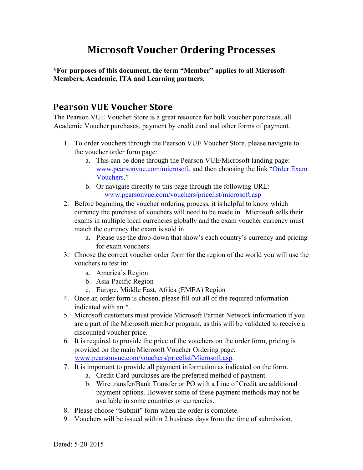# **Microsoft Voucher Ordering Processes**

**\*For purposes of this document, the term "Member" applies to all Microsoft Members, Academic, ITA and Learning partners.** 

# **Pearson VUE Voucher Store**

The Pearson VUE Voucher Store is a great resource for bulk voucher purchases, all Academic Voucher purchases, payment by credit card and other forms of payment.

- 1. To order vouchers through the Pearson VUE Voucher Store, please navigate to the voucher order form page:
	- a. This can be done through the Pearson VUE/Microsoft landing page: www.pearsonvue.com/microsoft, and then choosing the link ["Order Exam](http://www.pearsonvue.com/vouchers/pricelist/microsoft.asp)  [Vouchers."](http://www.pearsonvue.com/vouchers/pricelist/microsoft.asp)
	- b. Or navigate directly to this page through the following URL: www.pearsonvue.com/vouchers/pricelist/microsoft.asp
- 2. Before beginning the voucher ordering process, it is helpful to know which currency the purchase of vouchers will need to be made in. Microsoft sells their exams in multiple local currencies globally and the exam voucher currency must match the currency the exam is sold in.
	- a. Please use the drop-down that show's each country's currency and pricing for exam vouchers.
- 3. Choose the correct voucher order form for the region of the world you will use the vouchers to test in:
	- a. America's Region
	- b. Asia-Pacific Region
	- c. Europe, Middle East, Africa (EMEA) Region
- 4. Once an order form is chosen, please fill out all of the required information indicated with an \*.
- 5. Microsoft customers must provide Microsoft Partner Network information if you are a part of the Microsoft member program, as this will be validated to receive a discounted voucher price.
- 6. It is required to provide the price of the vouchers on the order form, pricing is provided on the main Microsoft Voucher Ordering page: www.pearsonvue.com/vouchers/pricelist/Microsoft.asp.
- 7. It is important to provide all payment information as indicated on the form.
	- a. Credit Card purchases are the preferred method of payment.
	- b. Wire transfer/Bank Transfer or PO with a Line of Credit are additional payment options. However some of these payment methods may not be available in some countries or currencies.
- 8. Please choose "Submit" form when the order is complete.
- 9. Vouchers will be issued within 2 business days from the time of submission.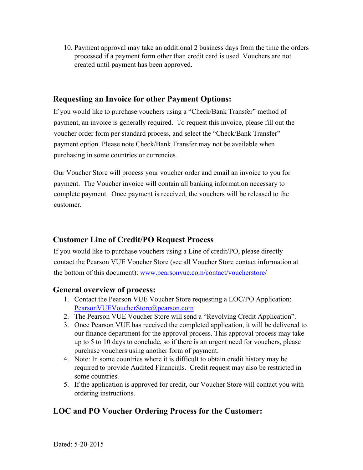10. Payment approval may take an additional 2 business days from the time the orders processed if a payment form other than credit card is used. Vouchers are not created until payment has been approved.

# **Requesting an Invoice for other Payment Options:**

If you would like to purchase vouchers using a "Check/Bank Transfer" method of payment, an invoice is generally required. To request this invoice, please fill out the voucher order form per standard process, and select the "Check/Bank Transfer" payment option. Please note Check/Bank Transfer may not be available when purchasing in some countries or currencies.

Our Voucher Store will process your voucher order and email an invoice to you for payment. The Voucher invoice will contain all banking information necessary to complete payment. Once payment is received, the vouchers will be released to the customer.

# **Customer Line of Credit/PO Request Process**

If you would like to purchase vouchers using a Line of credit/PO, please directly contact the Pearson VUE Voucher Store (see all Voucher Store contact information at the bottom of this document): www.pearsonvue.com/contact/voucherstore/

## **General overview of process:**

- 1. Contact the Pearson VUE Voucher Store requesting a LOC/PO Application: PearsonVUEVoucherStore@pearson.com
- 2. The Pearson VUE Voucher Store will send a "Revolving Credit Application".
- 3. Once Pearson VUE has received the completed application, it will be delivered to our finance department for the approval process. This approval process may take up to 5 to 10 days to conclude, so if there is an urgent need for vouchers, please purchase vouchers using another form of payment.
- 4. Note: In some countries where it is difficult to obtain credit history may be required to provide Audited Financials. Credit request may also be restricted in some countries.
- 5. If the application is approved for credit, our Voucher Store will contact you with ordering instructions.

# **LOC and PO Voucher Ordering Process for the Customer:**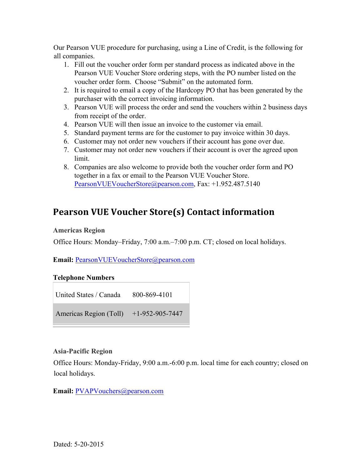Our Pearson VUE procedure for purchasing, using a Line of Credit, is the following for all companies.

- 1. Fill out the voucher order form per standard process as indicated above in the Pearson VUE Voucher Store ordering steps, with the PO number listed on the voucher order form. Choose "Submit" on the automated form.
- 2. It is required to email a copy of the Hardcopy PO that has been generated by the purchaser with the correct invoicing information.
- 3. Pearson VUE will process the order and send the vouchers within 2 business days from receipt of the order.
- 4. Pearson VUE will then issue an invoice to the customer via email.
- 5. Standard payment terms are for the customer to pay invoice within 30 days.
- 6. Customer may not order new vouchers if their account has gone over due.
- 7. Customer may not order new vouchers if their account is over the agreed upon limit.
- 8. Companies are also welcome to provide both the voucher order form and PO together in a fax or email to the Pearson VUE Voucher Store. PearsonVUEVoucherStore@pearson.com, Fax: +1.952.487.5140

# **Pearson VUE Voucher Store(s) Contact information**

#### **Americas Region**

Office Hours: Monday–Friday, 7:00 a.m.–7:00 p.m. CT; closed on local holidays.

#### **Email:** PearsonVUEVoucherStore@pearson.com

#### **Telephone Numbers**

United States / Canada 800-869-4101

Americas Region (Toll) +1-952-905-7447

#### **Asia-Pacific Region**

Office Hours: Monday-Friday, 9:00 a.m.-6:00 p.m. local time for each country; closed on local holidays.

**Email:** PVAPVouchers@pearson.com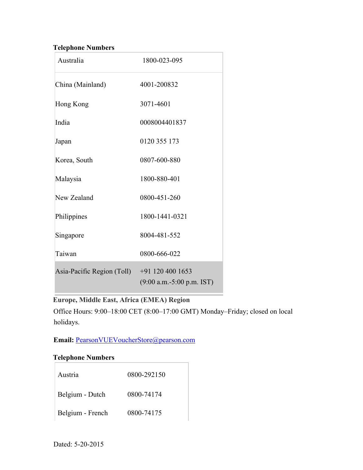### **Telephone Numbers**

| Australia                  | 1800-023-095                                      |
|----------------------------|---------------------------------------------------|
| China (Mainland)           | 4001-200832                                       |
| Hong Kong                  | 3071-4601                                         |
| India                      | 0008004401837                                     |
| Japan                      | 0120 355 173                                      |
| Korea, South               | 0807-600-880                                      |
| Malaysia                   | 1800-880-401                                      |
| New Zealand                | 0800-451-260                                      |
| Philippines                | 1800-1441-0321                                    |
| Singapore                  | 8004-481-552                                      |
| Taiwan                     | 0800-666-022                                      |
| Asia-Pacific Region (Toll) | $+91$ 120 400 1653<br>$(9:00 a.m.-5:00 p.m. IST)$ |

**Europe, Middle East, Africa (EMEA) Region** 

Office Hours: 9:00–18:00 CET (8:00–17:00 GMT) Monday–Friday; closed on local holidays.

**Email:** PearsonVUEVoucherStore@pearson.com

### **Telephone Numbers**

| Austria          | 0800-292150 |
|------------------|-------------|
| Belgium - Dutch  | 0800-74174  |
| Belgium - French | 0800-74175  |